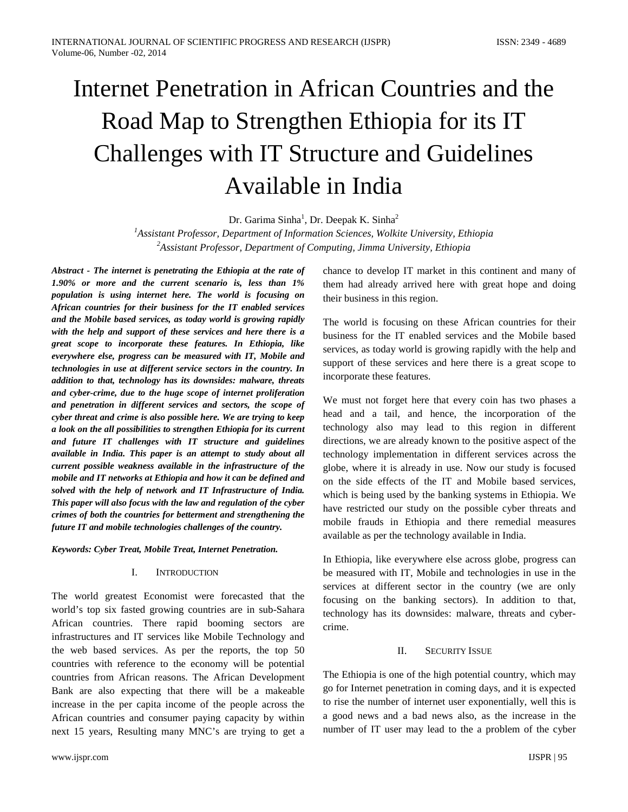# Internet Penetration in African Countries and the Road Map to Strengthen Ethiopia for its IT Challenges with IT Structure and Guidelines Available in India

Dr. Garima Sinha<sup>1</sup>, Dr. Deepak K. Sinha<sup>2</sup>

*1 Assistant Professor, Department of Information Sciences, Wolkite University, Ethiopia 2 Assistant Professor, Department of Computing, Jimma University, Ethiopia*

*Abstract - The internet is penetrating the Ethiopia at the rate of 1.90% or more and the current scenario is, less than 1% population is using internet here. The world is focusing on African countries for their business for the IT enabled services and the Mobile based services, as today world is growing rapidly with the help and support of these services and here there is a great scope to incorporate these features. In Ethiopia, like everywhere else, progress can be measured with IT, Mobile and technologies in use at different service sectors in the country. In addition to that, technology has its downsides: malware, threats and cyber-crime, due to the huge scope of internet proliferation and penetration in different services and sectors, the scope of cyber threat and crime is also possible here. We are trying to keep a look on the all possibilities to strengthen Ethiopia for its current and future IT challenges with IT structure and guidelines available in India. This paper is an attempt to study about all current possible weakness available in the infrastructure of the mobile and IT networks at Ethiopia and how it can be defined and solved with the help of network and IT Infrastructure of India. This paper will also focus with the law and regulation of the cyber crimes of both the countries for betterment and strengthening the future IT and mobile technologies challenges of the country.*

#### *Keywords: Cyber Treat, Mobile Treat, Internet Penetration.*

## I. INTRODUCTION

The world greatest Economist were forecasted that the world's top six fasted growing countries are in sub-Sahara African countries. There rapid booming sectors are infrastructures and IT services like Mobile Technology and the web based services. As per the reports, the top 50 countries with reference to the economy will be potential countries from African reasons. The African Development Bank are also expecting that there will be a makeable increase in the per capita income of the people across the African countries and consumer paying capacity by within next 15 years, Resulting many MNC's are trying to get a

chance to develop IT market in this continent and many of them had already arrived here with great hope and doing their business in this region.

The world is focusing on these African countries for their business for the IT enabled services and the Mobile based services, as today world is growing rapidly with the help and support of these services and here there is a great scope to incorporate these features.

We must not forget here that every coin has two phases a head and a tail, and hence, the incorporation of the technology also may lead to this region in different directions, we are already known to the positive aspect of the technology implementation in different services across the globe, where it is already in use. Now our study is focused on the side effects of the IT and Mobile based services, which is being used by the banking systems in Ethiopia. We have restricted our study on the possible cyber threats and mobile frauds in Ethiopia and there remedial measures available as per the technology available in India.

In Ethiopia, like everywhere else across globe, progress can be measured with IT, Mobile and technologies in use in the services at different sector in the country (we are only focusing on the banking sectors). In addition to that, technology has its downsides: malware, threats and cybercrime.

#### II. SECURITY ISSUE

The Ethiopia is one of the high potential country, which may go for Internet penetration in coming days, and it is expected to rise the number of internet user exponentially, well this is a good news and a bad news also, as the increase in the number of IT user may lead to the a problem of the cyber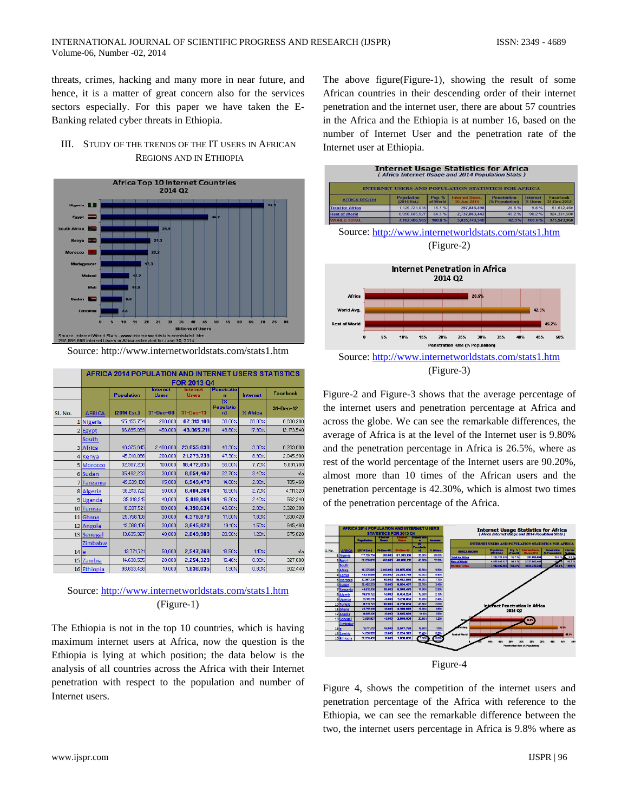threats, crimes, hacking and many more in near future, and hence, it is a matter of great concern also for the services sectors especially. For this paper we have taken the E-Banking related cyber threats in Ethiopia.

## III. STUDY OF THE TRENDS OF THE IT USERS IN AFRICAN REGIONS AND IN ETHIOPIA



Source: http://www.internetworldstats.com/stats1.htm

|                 | <b>AFRICA 2014 POPULATION AND INTERNET USERS STATISTICS</b> |                       |                                 |                         |                              |                 |                 |  |
|-----------------|-------------------------------------------------------------|-----------------------|---------------------------------|-------------------------|------------------------------|-----------------|-----------------|--|
|                 |                                                             | FOR 2013 Q4           |                                 |                         |                              |                 |                 |  |
|                 |                                                             | <b>Population</b>     | <b>Internet</b><br><b>Users</b> | nternet<br><b>Users</b> | <b>Penetratio</b><br>n       | <b>Internet</b> | <b>Facebook</b> |  |
| Sl. No.         | <b>AFRICA</b>                                               | $(2014 \text{ Est.})$ | $31 - Dec -00$                  | $31 - Dec - 13$         | 1%<br><b>Populatio</b><br>n) | $Z$ Africa      | 31-Dec-12       |  |
|                 | 1 Nigeria                                                   | 177.155.754           | 200,000                         | 67.319.186              | 38.00%                       | 28.00%          | 6.630.200       |  |
|                 | 2 Egypt                                                     | 86,895,099            | 450,000                         | 43,065,211              | 49.60%                       | 17.90%          | 12,173,540      |  |
|                 | South                                                       |                       |                                 |                         |                              |                 |                 |  |
|                 | 3 Africa                                                    | 48,375,645            | 2,400,000                       | 23,655,690              | 48.90%                       | 9.90%           | 6,269,600       |  |
|                 | 4 Kenya                                                     | 45.010.056            | 200,000                         | 21.273.738              | 47.30%                       | 8.90%           | 2.045.900       |  |
|                 | 5 Morocco                                                   | 32,987,206            | 100,000                         | 18,472,835              | 56.00%                       | 7.70%           | 5,091,760       |  |
|                 | 6 Sudan                                                     | 35,482,233            | 30,000                          | 8,054,467               | 22.70%                       | 3.40%           | nła             |  |
|                 | <b>Tanzania</b>                                             | 49.639.138            | 115,000                         | 6,949,479               | 14.00%                       | 2.90%           | 705,460         |  |
|                 | 8 Algeria                                                   | 38,813,722            | 50,000                          | 6,404,264               | 16.50%                       | 2.70%           | 4,111,320       |  |
|                 | 9Uganda                                                     | 35,918,915            | 40,000                          | 5.818.864               | 16.20%                       | 2.40%           | 562.240         |  |
|                 | 10 Tunisia                                                  | 10,937,521            | 100,000                         | 4,790,634               | 43.80%                       | 2.00%           | 3,328,300       |  |
|                 | 11 Ghana                                                    | 25.758.108            | 30,000                          | 4.378.878               | 17.00%                       | 1.80%           | 1,630,420       |  |
|                 | 12 Angola                                                   | 19,088,106            | 30,000                          | 3,645,828               | 19.10%                       | 1.50%           | 645,460         |  |
|                 | 13 Senegal                                                  | 13,635,927            | 40,000                          | 2,849,909               | 20.90%                       | 1.20%           | 675,820         |  |
|                 | Zimbabw                                                     |                       |                                 |                         |                              |                 |                 |  |
| 14 <sub>e</sub> |                                                             | 13.771.721            | 50,000                          | 2.547.768               | 18.50%                       | 1.10%           | nła             |  |
|                 | 15 Zambia                                                   | 14,638,505            | 20,000                          | 2,254,329               | 15.40%                       | 0.90%           | 327,600         |  |
|                 | 16 Ethiopia                                                 | 96,633,458            | 10,000                          | 1,836,035               | 1.90%                        | 0.80%           | 902,440         |  |

Source: <http://www.internetworldstats.com/stats1.htm> (Figure-1)

The Ethiopia is not in the top 10 countries, which is having maximum internet users at Africa, now the question is the Ethiopia is lying at which position; the data below is the analysis of all countries across the Africa with their Internet penetration with respect to the population and number of Internet users.

The above figure(Figure-1), showing the result of some African countries in their descending order of their internet penetration and the internet user, there are about 57 countries in the Africa and the Ethiopia is at number 16, based on the number of Internet User and the penetration rate of the Internet user at Ethiopia.



Figure-2 and Figure-3 shows that the average percentage of the internet users and penetration percentage at Africa and across the globe. We can see the remarkable differences, the average of Africa is at the level of the Internet user is 9.80% and the penetration percentage in Africa is 26.5%, where as rest of the world percentage of the Internet users are 90.20%, almost more than 10 times of the African users and the penetration percentage is 42.30%, which is almost two times of the penetration percentage of the Africa.



Figure 4, shows the competition of the internet users and penetration percentage of the Africa with reference to the Ethiopia, we can see the remarkable difference between the two, the internet users percentage in Africa is 9.8% where as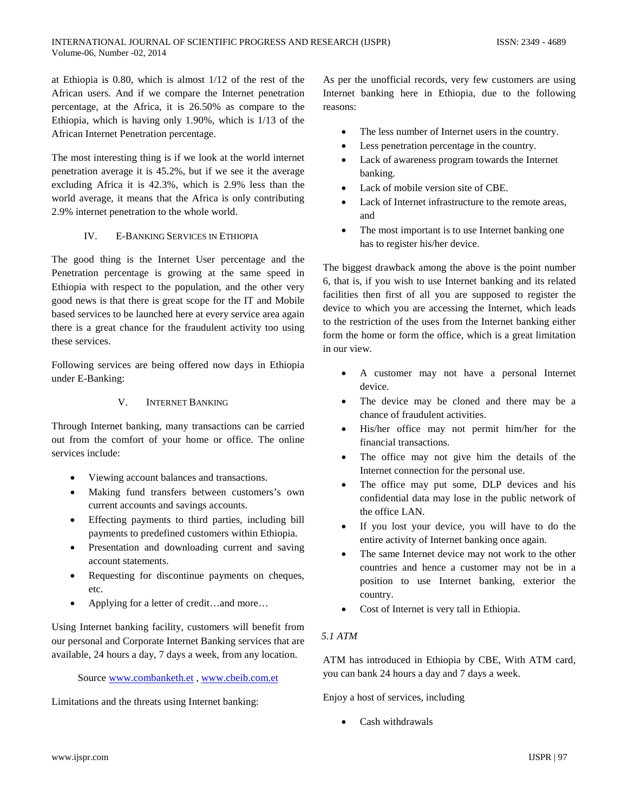at Ethiopia is 0.80, which is almost 1/12 of the rest of the African users. And if we compare the Internet penetration percentage, at the Africa, it is 26.50% as compare to the Ethiopia, which is having only 1.90%, which is 1/13 of the African Internet Penetration percentage.

The most interesting thing is if we look at the world internet penetration average it is 45.2%, but if we see it the average excluding Africa it is 42.3%, which is 2.9% less than the world average, it means that the Africa is only contributing 2.9% internet penetration to the whole world.

#### IV. E-BANKING SERVICES IN ETHIOPIA

The good thing is the Internet User percentage and the Penetration percentage is growing at the same speed in Ethiopia with respect to the population, and the other very good news is that there is great scope for the IT and Mobile based services to be launched here at every service area again there is a great chance for the fraudulent activity too using these services.

Following services are being offered now days in Ethiopia under E-Banking:

### V. INTERNET BANKING

Through Internet banking, many transactions can be carried out from the comfort of your home or office. The online services include:

- Viewing account balances and transactions.
- Making fund transfers between customers's own current accounts and savings accounts.
- Effecting payments to third parties, including bill payments to predefined customers within Ethiopia.
- Presentation and downloading current and saving account statements.
- Requesting for discontinue payments on cheques, etc.
- Applying for a letter of credit…and more…

Using Internet banking facility, customers will benefit from our personal and Corporate Internet Banking services that are available, 24 hours a day, 7 days a week, from any location.

# Source [www.combanketh.et](http://www.combanketh.et/) *,* [www.cbeib.com.et](http://www.cbeib.com.et/)

Limitations and the threats using Internet banking:

As per the unofficial records, very few customers are using Internet banking here in Ethiopia, due to the following reasons:

- The less number of Internet users in the country.
- Less penetration percentage in the country.
- Lack of awareness program towards the Internet banking.
- Lack of mobile version site of CBE.
- Lack of Internet infrastructure to the remote areas, and
- The most important is to use Internet banking one has to register his/her device.

The biggest drawback among the above is the point number 6, that is, if you wish to use Internet banking and its related facilities then first of all you are supposed to register the device to which you are accessing the Internet, which leads to the restriction of the uses from the Internet banking either form the home or form the office, which is a great limitation in our view.

- A customer may not have a personal Internet device.
- The device may be cloned and there may be a chance of fraudulent activities.
- His/her office may not permit him/her for the financial transactions.
- The office may not give him the details of the Internet connection for the personal use.
- The office may put some, DLP devices and his confidential data may lose in the public network of the office LAN.
- If you lost your device, you will have to do the entire activity of Internet banking once again.
- The same Internet device may not work to the other countries and hence a customer may not be in a position to use Internet banking, exterior the country.
- Cost of Internet is very tall in Ethiopia.

## *5.1 ATM*

ATM has introduced in Ethiopia by CBE, With ATM card, you can bank 24 hours a day and 7 days a week.

Enjoy a host of services, including

• Cash withdrawals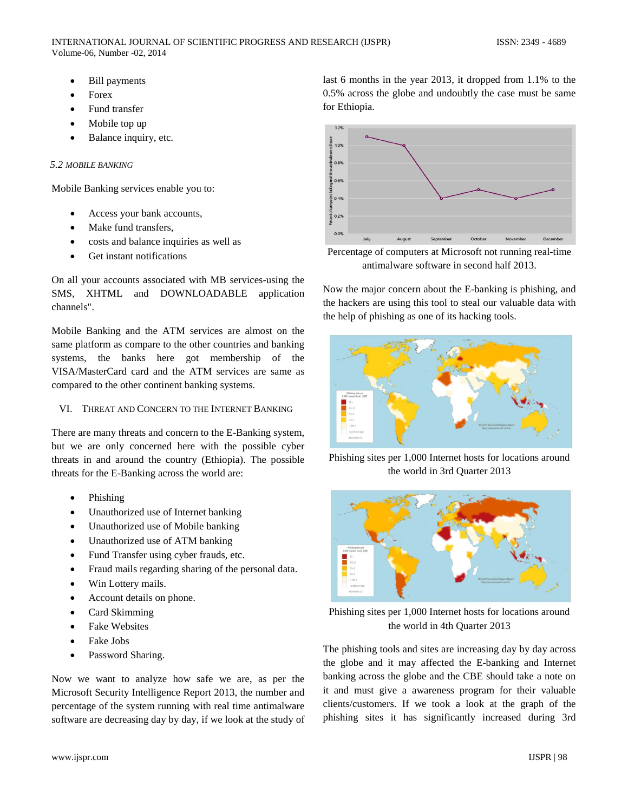- Bill payments
- **Forex**
- Fund transfer
- Mobile top up
- Balance inquiry, etc.

### *5.2 MOBILE BANKING*

Mobile Banking services enable you to:

- Access your bank accounts,
- Make fund transfers.
- costs and balance inquiries as well as
- Get instant notifications

On all your accounts associated with MB services-using the SMS, XHTML and DOWNLOADABLE application channels".

Mobile Banking and the ATM services are almost on the same platform as compare to the other countries and banking systems, the banks here got membership of the VISA/MasterCard card and the ATM services are same as compared to the other continent banking systems.

VI. THREAT AND CONCERN TO THE INTERNET BANKING

There are many threats and concern to the E-Banking system, but we are only concerned here with the possible cyber threats in and around the country (Ethiopia). The possible threats for the E-Banking across the world are:

- Phishing
- Unauthorized use of Internet banking
- Unauthorized use of Mobile banking
- Unauthorized use of ATM banking
- Fund Transfer using cyber frauds, etc.
- Fraud mails regarding sharing of the personal data.
- Win Lottery mails.
- Account details on phone.
- Card Skimming
- **Fake Websites**
- Fake Jobs
- Password Sharing.

Now we want to analyze how safe we are, as per the Microsoft Security Intelligence Report 2013, the number and percentage of the system running with real time antimalware software are decreasing day by day, if we look at the study of last 6 months in the year 2013, it dropped from 1.1% to the 0.5% across the globe and undoubtly the case must be same for Ethiopia.



Percentage of computers at Microsoft not running real-time antimalware software in second half 2013.

Now the major concern about the E-banking is phishing, and the hackers are using this tool to steal our valuable data with the help of phishing as one of its hacking tools.



Phishing sites per 1,000 Internet hosts for locations around the world in 3rd Quarter 2013



Phishing sites per 1,000 Internet hosts for locations around the world in 4th Quarter 2013

The phishing tools and sites are increasing day by day across the globe and it may affected the E-banking and Internet banking across the globe and the CBE should take a note on it and must give a awareness program for their valuable clients/customers. If we took a look at the graph of the phishing sites it has significantly increased during 3rd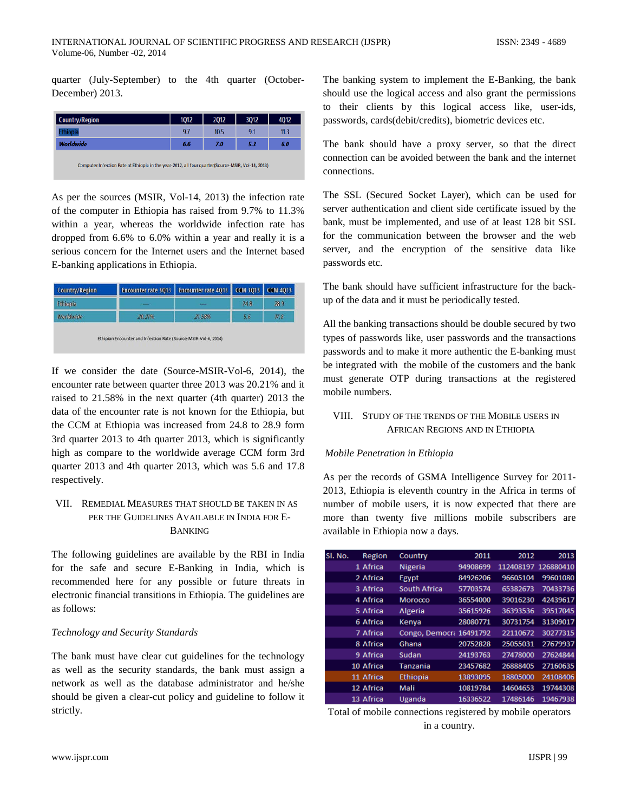quarter (July-September) to the 4th quarter (October-December) 2013.

| <b>Country/Region</b>                                                                             | 1012 | 2012 | 3Q12 | 4012 |  |  |
|---------------------------------------------------------------------------------------------------|------|------|------|------|--|--|
| <b>Ethiopia</b>                                                                                   | 9.7  | 10.5 | 9.1  | 11.3 |  |  |
| <b>Worldwide</b>                                                                                  | 6.6  | 7.0  | 5.3  | 6.0  |  |  |
| Computer Infection Rate at Ethiopia in the year-2012, all four quarter(Source-MSIR, Vol-14, 2013) |      |      |      |      |  |  |

As per the sources (MSIR, Vol-14, 2013) the infection rate of the computer in Ethiopia has raised from 9.7% to 11.3% within a year, whereas the worldwide infection rate has dropped from 6.6% to 6.0% within a year and really it is a serious concern for the Internet users and the Internet based E-banking applications in Ethiopia.

| <b>Country/Region</b> | <b>Encounter rate 3013</b> | Encounter rate 4013 CCM 3013 CCM 4013 |      |      |
|-----------------------|----------------------------|---------------------------------------|------|------|
| Ethiopia              |                            |                                       | 24.8 | 28.9 |
| Worldwide             | 20.21%                     | 21.58%                                | 5.6  | 17.8 |

If we consider the date (Source-MSIR-Vol-6, 2014), the encounter rate between quarter three 2013 was 20.21% and it raised to 21.58% in the next quarter (4th quarter) 2013 the data of the encounter rate is not known for the Ethiopia, but the CCM at Ethiopia was increased from 24.8 to 28.9 form 3rd quarter 2013 to 4th quarter 2013, which is significantly high as compare to the worldwide average CCM form 3rd quarter 2013 and 4th quarter 2013, which was 5.6 and 17.8 respectively.

# VII. REMEDIAL MEASURES THAT SHOULD BE TAKEN IN AS PER THE GUIDELINES AVAILABLE IN INDIA FOR E-BANKING

The following guidelines are available by the RBI in India for the safe and secure E-Banking in India, which is recommended here for any possible or future threats in electronic financial transitions in Ethiopia. The guidelines are as follows:

#### *Technology and Security Standards*

The bank must have clear cut guidelines for the technology as well as the security standards, the bank must assign a network as well as the database administrator and he/she should be given a clear-cut policy and guideline to follow it strictly.

The banking system to implement the E-Banking, the bank should use the logical access and also grant the permissions to their clients by this logical access like, user-ids, passwords, cards(debit/credits), biometric devices etc.

The bank should have a proxy server, so that the direct connection can be avoided between the bank and the internet connections.

The SSL (Secured Socket Layer), which can be used for server authentication and client side certificate issued by the bank, must be implemented, and use of at least 128 bit SSL for the communication between the browser and the web server, and the encryption of the sensitive data like passwords etc.

The bank should have sufficient infrastructure for the backup of the data and it must be periodically tested.

All the banking transactions should be double secured by two types of passwords like, user passwords and the transactions passwords and to make it more authentic the E-banking must be integrated with the mobile of the customers and the bank must generate OTP during transactions at the registered mobile numbers.

# VIII. STUDY OF THE TRENDS OF THE MOBILE USERS IN AFRICAN REGIONS AND IN ETHIOPIA

#### *Mobile Penetration in Ethiopia*

As per the records of GSMA Intelligence Survey for 2011- 2013, Ethiopia is eleventh country in the Africa in terms of number of mobile users, it is now expected that there are more than twenty five millions mobile subscribers are available in Ethiopia now a days.

| SI. No. | Region          | Country                 | 2011     | 2012                | 2013     |
|---------|-----------------|-------------------------|----------|---------------------|----------|
|         | 1 Africa        | <b>Nigeria</b>          | 94908699 | 112408197 126880410 |          |
|         | 2 Africa        | Egypt                   | 84926206 | 96605104            | 99601080 |
|         | 3 Africa        | South Africa            | 57703574 | 65382673            | 70433736 |
|         | 4 Africa        | Morocco                 | 36554000 | 39016230            | 42439617 |
|         | 5 Africa        | Algeria                 | 35615926 | 36393536            | 39517045 |
|         | 6 Africa        | Kenya                   | 28080771 | 30731754            | 31309017 |
|         | <b>7 Africa</b> | Congo, Democra 16491792 |          | 22110672            | 30277315 |
|         | 8 Africa        | Ghana                   | 20752828 | 25055031            | 27679937 |
|         | 9 Africa        | Sudan                   | 24193763 | 27478000            | 27624844 |
|         | 10 Africa       | <b>Tanzania</b>         | 23457682 | 26888405            | 27160635 |
|         | 11 Africa       | Ethiopia                | 13893095 | 18805000            | 24108406 |
|         | 12 Africa       | Mali                    | 10819784 | 14604653            | 19744308 |
|         | 13 Africa       | Uganda                  | 16336522 | 17486146            | 19467938 |

Total of mobile connections registered by mobile operators in a country.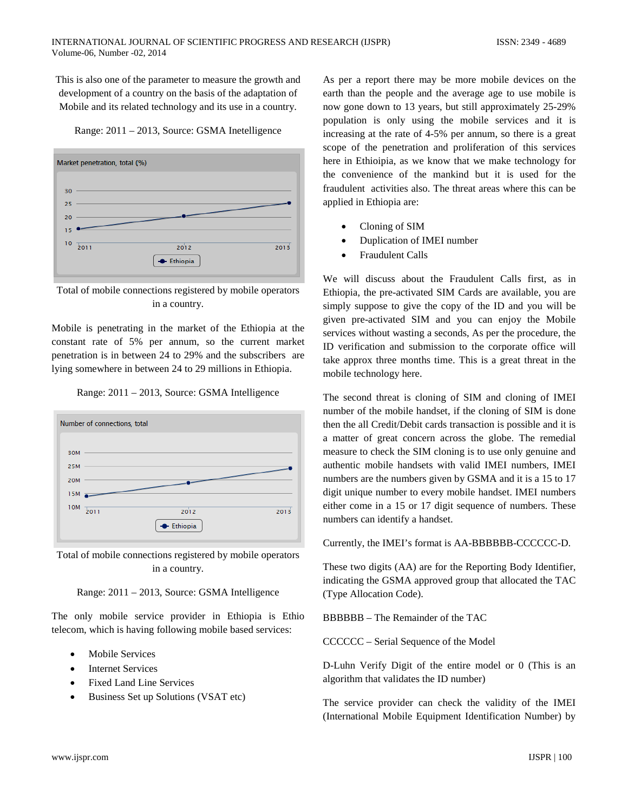This is also one of the parameter to measure the growth and development of a country on the basis of the adaptation of Mobile and its related technology and its use in a country.





Total of mobile connections registered by mobile operators in a country.

Mobile is penetrating in the market of the Ethiopia at the constant rate of 5% per annum, so the current market penetration is in between 24 to 29% and the subscribers are lying somewhere in between 24 to 29 millions in Ethiopia.





Total of mobile connections registered by mobile operators in a country.



The only mobile service provider in Ethiopia is Ethio telecom, which is having following mobile based services:

- Mobile Services
- **Internet Services**
- Fixed Land Line Services
- Business Set up Solutions (VSAT etc)

As per a report there may be more mobile devices on the earth than the people and the average age to use mobile is now gone down to 13 years, but still approximately 25-29% population is only using the mobile services and it is increasing at the rate of 4-5% per annum, so there is a great scope of the penetration and proliferation of this services here in Ethioipia, as we know that we make technology for the convenience of the mankind but it is used for the fraudulent activities also. The threat areas where this can be applied in Ethiopia are:

- Cloning of SIM
- Duplication of IMEI number
- Fraudulent Calls

We will discuss about the Fraudulent Calls first, as in Ethiopia, the pre-activated SIM Cards are available, you are simply suppose to give the copy of the ID and you will be given pre-activated SIM and you can enjoy the Mobile services without wasting a seconds, As per the procedure, the ID verification and submission to the corporate office will take approx three months time. This is a great threat in the mobile technology here.

The second threat is cloning of SIM and cloning of IMEI number of the mobile handset, if the cloning of SIM is done then the all Credit/Debit cards transaction is possible and it is a matter of great concern across the globe. The remedial measure to check the SIM cloning is to use only genuine and authentic mobile handsets with valid IMEI numbers, IMEI numbers are the numbers given by GSMA and it is a 15 to 17 digit unique number to every mobile handset. IMEI numbers either come in a 15 or 17 digit sequence of numbers. These numbers can identify a handset.

Currently, the IMEI's format is AA-BBBBBB-CCCCCC-D.

These two digits (AA) are for the Reporting Body Identifier, indicating the GSMA approved group that allocated the TAC (Type Allocation Code).

BBBBBB – The Remainder of the TAC

CCCCCC – Serial Sequence of the Model

D-Luhn Verify Digit of the entire model or 0 (This is an algorithm that validates the ID number)

The service provider can check the validity of the IMEI (International Mobile Equipment Identification Number) by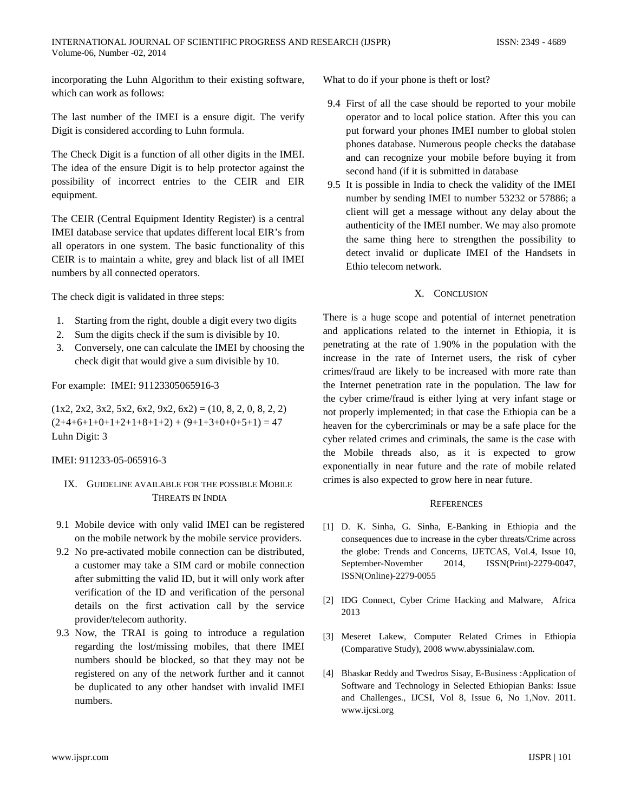incorporating the Luhn Algorithm to their existing software, which can work as follows:

The last number of the IMEI is a ensure digit. The verify Digit is considered according to Luhn formula.

The Check Digit is a function of all other digits in the IMEI. The idea of the ensure Digit is to help protector against the possibility of incorrect entries to the CEIR and EIR equipment.

The CEIR (Central Equipment Identity Register) is a central IMEI database service that updates different local EIR's from all operators in one system. The basic functionality of this CEIR is to maintain a white, grey and black list of all IMEI numbers by all connected operators.

The check digit is validated in three steps:

- 1. Starting from the right, double a digit every two digits
- 2. Sum the digits check if the sum is divisible by 10.
- 3. Conversely, one can calculate the IMEI by choosing the check digit that would give a sum divisible by 10.

For example: IMEI: 91123305065916-3

 $(1x2, 2x2, 3x2, 5x2, 6x2, 9x2, 6x2) = (10, 8, 2, 0, 8, 2, 2)$  $(2+4+6+1+0+1+2+1+8+1+2) + (9+1+3+0+0+5+1) = 47$ Luhn Digit: 3

#### IMEI: 911233-05-065916-3

# IX. GUIDELINE AVAILABLE FOR THE POSSIBLE MOBILE THREATS IN INDIA

- 9.1 Mobile device with only valid IMEI can be registered on the mobile network by the mobile service providers.
- 9.2 No pre-activated mobile connection can be distributed, a customer may take a SIM card or mobile connection after submitting the valid ID, but it will only work after verification of the ID and verification of the personal details on the first activation call by the service provider/telecom authority.
- 9.3 Now, the TRAI is going to introduce a regulation regarding the lost/missing mobiles, that there IMEI numbers should be blocked, so that they may not be registered on any of the network further and it cannot be duplicated to any other handset with invalid IMEI numbers.

What to do if your phone is theft or lost?

- 9.4 First of all the case should be reported to your [mobile](http://en.wikipedia.org/wiki/Mobile_network_operator)  [operator](http://en.wikipedia.org/wiki/Mobile_network_operator) and to local [police station.](http://en.wikipedia.org/wiki/Police_station) After this you can put forward your phones IMEI number to [global stolen](http://www.stolen-phone.com/)  [phones database.](http://www.stolen-phone.com/) Numerous people checks the database and can recognize your mobile before buying it from second hand (if it is submitted in database
- 9.5 It is possible in India to check the validity of the IMEI number by sending IMEI to number 53232 or 57886; a client will get a message without any delay about the authenticity of the IMEI number. We may also promote the same thing here to strengthen the possibility to detect invalid or duplicate IMEI of the Handsets in Ethio telecom network.

## X. CONCLUSION

There is a huge scope and potential of internet penetration and applications related to the internet in Ethiopia, it is penetrating at the rate of 1.90% in the population with the increase in the rate of Internet users, the risk of cyber crimes/fraud are likely to be increased with more rate than the Internet penetration rate in the population. The law for the cyber crime/fraud is either lying at very infant stage or not properly implemented; in that case the Ethiopia can be a heaven for the cybercriminals or may be a safe place for the cyber related crimes and criminals, the same is the case with the Mobile threads also, as it is expected to grow exponentially in near future and the rate of mobile related crimes is also expected to grow here in near future.

### **REFERENCES**

- [1] D. K. Sinha, G. Sinha, E-Banking in Ethiopia and the consequences due to increase in the cyber threats/Crime across the globe: Trends and Concerns, IJETCAS, Vol.4, Issue 10, September-November 2014, ISSN(Print)-2279-0047, ISSN(Online)-2279-0055
- [2] IDG Connect, Cyber Crime Hacking and Malware, Africa 2013
- [3] Meseret Lakew, Computer Related Crimes in Ethiopia (Comparative Study), 200[8 www.abyssinialaw.com.](http://www.abyssinialaw.com/)
- [4] Bhaskar Reddy and Twedros Sisay, E-Business :Application of Software and Technology in Selected Ethiopian Banks: Issue and Challenges., IJCSI, Vol 8, Issue 6, No 1,Nov. 2011. [www.ijcsi.org](http://www.ijcsi.org/)